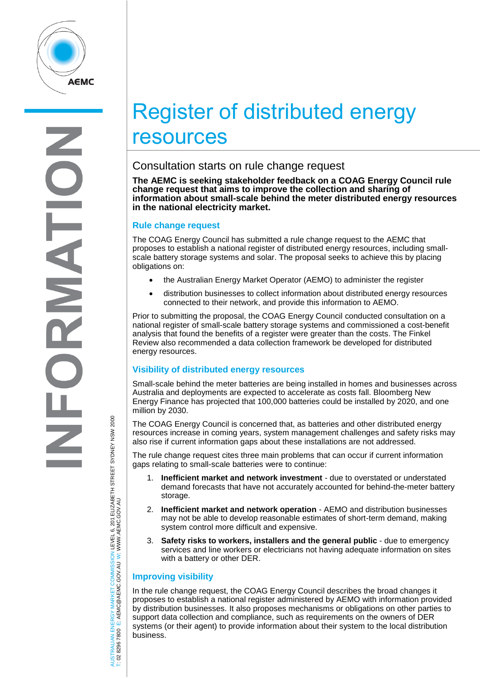

# Register of distributed energy resources

## Consultation starts on rule change request

**The AEMC is seeking stakeholder feedback on a COAG Energy Council rule change request that aims to improve the collection and sharing of information about small-scale behind the meter distributed energy resources in the national electricity market.**

#### **Rule change request**

The COAG Energy Council has submitted a rule change request to the AEMC that proposes to establish a national register of distributed energy resources, including smallscale battery storage systems and solar. The proposal seeks to achieve this by placing obligations on:

- the Australian Energy Market Operator (AEMO) to administer the register
- distribution businesses to collect information about distributed energy resources connected to their network, and provide this information to AEMO.

Prior to submitting the proposal, the COAG Energy Council conducted consultation on a national register of small-scale battery storage systems and commissioned a cost-benefit analysis that found the benefits of a register were greater than the costs. The Finkel Review also recommended a data collection framework be developed for distributed energy resources.

#### **Visibility of distributed energy resources**

Small-scale behind the meter batteries are being installed in homes and businesses across Australia and deployments are expected to accelerate as costs fall. Bloomberg New Energy Finance has projected that 100,000 batteries could be installed by 2020, and one million by 2030.

The COAG Energy Council is concerned that, as batteries and other distributed energy resources increase in coming years, system management challenges and safety risks may also rise if current information gaps about these installations are not addressed.

The rule change request cites three main problems that can occur if current information gaps relating to small-scale batteries were to continue:

- 1. **Inefficient market and network investment** due to overstated or understated demand forecasts that have not accurately accounted for behind-the-meter battery storage.
- 2. **Inefficient market and network operation** AEMO and distribution businesses may not be able to develop reasonable estimates of short-term demand, making system control more difficult and expensive.
- 3. **Safety risks to workers, installers and the general public** due to emergency services and line workers or electricians not having adequate information on sites with a battery or other DER.

### **Improving visibility**

In the rule change request, the COAG Energy Council describes the broad changes it proposes to establish a national register administered by AEMO with information provided by distribution businesses. It also proposes mechanisms or obligations on other parties to support data collection and compliance, such as requirements on the owners of DER systems (or their agent) to provide information about their system to the local distribution business.

AUSTRALIAN ENERGY MARKET COMMISSION LEVEL 6, 201 ELIZABETH STREET SYDNEY NSM 2000<br>T: 02 8296 7800 E: AEMC@AEMC.GOV.AU W: WWW.AEMC.GOV.AU AUSTRALIAN ENERGY MARKET COMMISSION LEVEL 6, 201 ELIZABETH STREET SYDNEY NSW 2000 W: WWW.AEMC.GOV.AU T: 02 8296 7800 E: AEMC@AEMC.GOV.AU